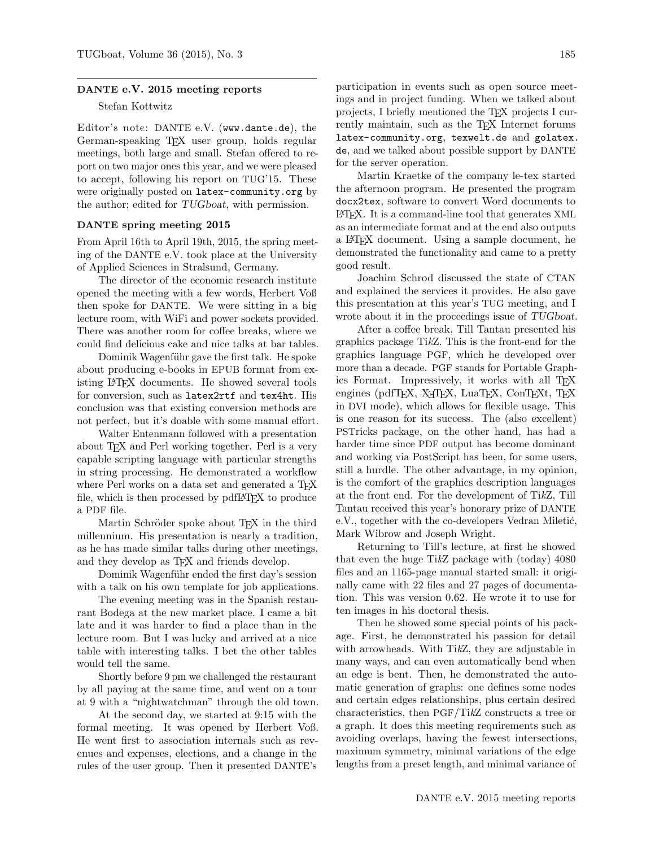## DANTE e.V. 2015 meeting reports

## Stefan Kottwitz

Editor's note: DANTE e.V. (www.dante.de), the German-speaking TEX user group, holds regular meetings, both large and small. Stefan offered to report on two major ones this year, and we were pleased to accept, following his report on TUG'15. These were originally posted on latex-community.org by the author; edited for TUGboat, with permission.

## DANTE spring meeting 2015

From April 16th to April 19th, 2015, the spring meeting of the DANTE e.V. took place at the University of Applied Sciences in Stralsund, Germany.

The director of the economic research institute opened the meeting with a few words, Herbert Voß then spoke for DANTE. We were sitting in a big lecture room, with WiFi and power sockets provided. There was another room for coffee breaks, where we could find delicious cake and nice talks at bar tables.

Dominik Wagenführ gave the first talk. He spoke about producing e-books in EPUB format from existing LATEX documents. He showed several tools for conversion, such as latex2rtf and tex4ht. His conclusion was that existing conversion methods are not perfect, but it's doable with some manual effort.

Walter Entenmann followed with a presentation about T<sub>E</sub>X and Perl working together. Perl is a very capable scripting language with particular strengths in string processing. He demonstrated a workflow where Perl works on a data set and generated a T<sub>F</sub>X file, which is then processed by pdfLAT<sub>EX</sub> to produce a PDF file.

Martin Schröder spoke about TEX in the third millennium. His presentation is nearly a tradition, as he has made similar talks during other meetings, and they develop as T<sub>F</sub>X and friends develop.

Dominik Wagenführ ended the first day's session with a talk on his own template for job applications.

The evening meeting was in the Spanish restaurant Bodega at the new market place. I came a bit late and it was harder to find a place than in the lecture room. But I was lucky and arrived at a nice table with interesting talks. I bet the other tables would tell the same.

Shortly before 9 pm we challenged the restaurant by all paying at the same time, and went on a tour at 9 with a "nightwatchman" through the old town.

At the second day, we started at 9:15 with the formal meeting. It was opened by Herbert Voß. He went first to association internals such as revenues and expenses, elections, and a change in the rules of the user group. Then it presented DANTE's

participation in events such as open source meetings and in project funding. When we talked about projects, I briefly mentioned the TEX projects I currently maintain, such as the TFX Internet forums latex-community.org, texwelt.de and golatex. de, and we talked about possible support by DANTE for the server operation.

Martin Kraetke of the company le-tex started the afternoon program. He presented the program docx2tex, software to convert Word documents to LATEX. It is a command-line tool that generates XML as an intermediate format and at the end also outputs a LATEX document. Using a sample document, he demonstrated the functionality and came to a pretty good result.

Joachim Schrod discussed the state of CTAN and explained the services it provides. He also gave this presentation at this year's TUG meeting, and I wrote about it in the proceedings issue of TUGboat.

After a coffee break, Till Tantau presented his graphics package TikZ. This is the front-end for the graphics language PGF, which he developed over more than a decade. PGF stands for Portable Graphics Format. Impressively, it works with all T<sub>E</sub>X engines (pdfTEX, X<sub>T</sub>TEX, LuaTEX, ConTEXt, TEX in DVI mode), which allows for flexible usage. This is one reason for its success. The (also excellent) PSTricks package, on the other hand, has had a harder time since PDF output has become dominant and working via PostScript has been, for some users, still a hurdle. The other advantage, in my opinion, is the comfort of the graphics description languages at the front end. For the development of TikZ, Till Tantau received this year's honorary prize of DANTE e.V., together with the co-developers Vedran Miletić, Mark Wibrow and Joseph Wright.

Returning to Till's lecture, at first he showed that even the huge TikZ package with (today) 4080 files and an 1165-page manual started small: it originally came with 22 files and 27 pages of documentation. This was version 0.62. He wrote it to use for ten images in his doctoral thesis.

Then he showed some special points of his package. First, he demonstrated his passion for detail with arrowheads. With TikZ, they are adjustable in many ways, and can even automatically bend when an edge is bent. Then, he demonstrated the automatic generation of graphs: one defines some nodes and certain edges relationships, plus certain desired characteristics, then PGF/TikZ constructs a tree or a graph. It does this meeting requirements such as avoiding overlaps, having the fewest intersections, maximum symmetry, minimal variations of the edge lengths from a preset length, and minimal variance of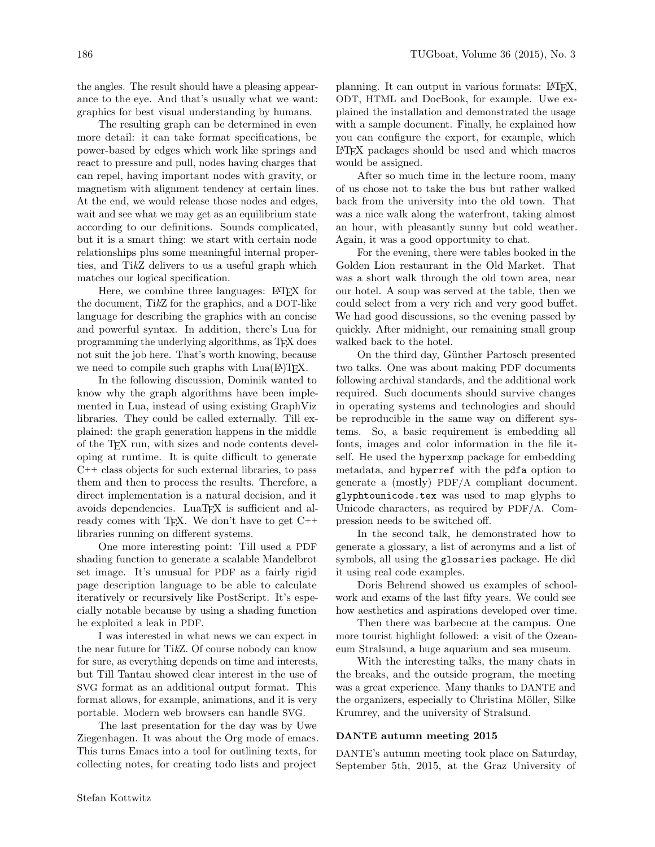the angles. The result should have a pleasing appearance to the eye. And that's usually what we want: graphics for best visual understanding by humans.

The resulting graph can be determined in even more detail: it can take format specifications, be power-based by edges which work like springs and react to pressure and pull, nodes having charges that can repel, having important nodes with gravity, or magnetism with alignment tendency at certain lines. At the end, we would release those nodes and edges, wait and see what we may get as an equilibrium state according to our definitions. Sounds complicated, but it is a smart thing: we start with certain node relationships plus some meaningful internal properties, and TikZ delivers to us a useful graph which matches our logical specification.

Here, we combine three languages: LAT<sub>EX</sub> for the document, TikZ for the graphics, and a DOT-like language for describing the graphics with an concise and powerful syntax. In addition, there's Lua for programming the underlying algorithms, as TEX does not suit the job here. That's worth knowing, because we need to compile such graphs with  $Lua(E)TEX$ .

In the following discussion, Dominik wanted to know why the graph algorithms have been implemented in Lua, instead of using existing GraphViz libraries. They could be called externally. Till explained: the graph generation happens in the middle of the TEX run, with sizes and node contents developing at runtime. It is quite difficult to generate C++ class objects for such external libraries, to pass them and then to process the results. Therefore, a direct implementation is a natural decision, and it avoids dependencies. LuaT<sub>E</sub>X is sufficient and already comes with T<sub>E</sub>X. We don't have to get  $C++$ libraries running on different systems.

One more interesting point: Till used a PDF shading function to generate a scalable Mandelbrot set image. It's unusual for PDF as a fairly rigid page description language to be able to calculate iteratively or recursively like PostScript. It's especially notable because by using a shading function he exploited a leak in PDF.

I was interested in what news we can expect in the near future for TikZ. Of course nobody can know for sure, as everything depends on time and interests, but Till Tantau showed clear interest in the use of SVG format as an additional output format. This format allows, for example, animations, and it is very portable. Modern web browsers can handle SVG.

The last presentation for the day was by Uwe Ziegenhagen. It was about the Org mode of emacs. This turns Emacs into a tool for outlining texts, for collecting notes, for creating todo lists and project

planning. It can output in various formats: LAT<sub>EX</sub>, ODT, HTML and DocBook, for example. Uwe explained the installation and demonstrated the usage with a sample document. Finally, he explained how you can configure the export, for example, which LATEX packages should be used and which macros would be assigned.

After so much time in the lecture room, many of us chose not to take the bus but rather walked back from the university into the old town. That was a nice walk along the waterfront, taking almost an hour, with pleasantly sunny but cold weather. Again, it was a good opportunity to chat.

For the evening, there were tables booked in the Golden Lion restaurant in the Old Market. That was a short walk through the old town area, near our hotel. A soup was served at the table, then we could select from a very rich and very good buffet. We had good discussions, so the evening passed by quickly. After midnight, our remaining small group walked back to the hotel.

On the third day, Günther Partosch presented two talks. One was about making PDF documents following archival standards, and the additional work required. Such documents should survive changes in operating systems and technologies and should be reproducible in the same way on different systems. So, a basic requirement is embedding all fonts, images and color information in the file itself. He used the hyperxmp package for embedding metadata, and hyperref with the pdfa option to generate a (mostly) PDF/A compliant document. glyphtounicode.tex was used to map glyphs to Unicode characters, as required by PDF/A. Compression needs to be switched off.

In the second talk, he demonstrated how to generate a glossary, a list of acronyms and a list of symbols, all using the glossaries package. He did it using real code examples.

Doris Behrend showed us examples of schoolwork and exams of the last fifty years. We could see how aesthetics and aspirations developed over time.

Then there was barbecue at the campus. One more tourist highlight followed: a visit of the Ozeaneum Stralsund, a huge aquarium and sea museum.

With the interesting talks, the many chats in the breaks, and the outside program, the meeting was a great experience. Many thanks to DANTE and the organizers, especially to Christina Möller, Silke Krumrey, and the university of Stralsund.

## DANTE autumn meeting 2015

DANTE's autumn meeting took place on Saturday, September 5th, 2015, at the Graz University of